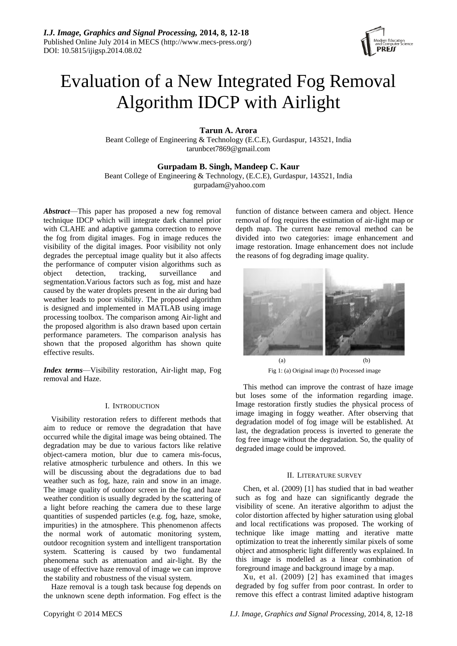

# Evaluation of a New Integrated Fog Removal Algorithm IDCP with Airlight

**Tarun A. Arora**

Beant College of Engineering & Technology (E.C.E), Gurdaspur, 143521, India [tarunbcet7869@gmail.com](mailto:tarunbcet7869@gmail.com)

**Gurpadam B. Singh, Mandeep C. Kaur**

Beant College of Engineering & Technology, (E.C.E), Gurdaspur, 143521, India

[gurpadam@yahoo.com](mailto:gurpadam@yahoo.com)

*Abstract*—This paper has proposed a new fog removal technique IDCP which will integrate dark channel prior with CLAHE and adaptive gamma correction to remove the fog from digital images. Fog in image reduces the visibility of the digital images. Poor visibility not only degrades the perceptual image quality but it also affects the performance of computer vision algorithms such as object detection, tracking, surveillance and segmentation.Various factors such as fog, mist and haze caused by the water droplets present in the air during bad weather leads to poor visibility. The proposed algorithm is designed and implemented in MATLAB using image processing toolbox. The comparison among Air-light and the proposed algorithm is also drawn based upon certain performance parameters. The comparison analysis has shown that the proposed algorithm has shown quite effective results.

*Index terms*—Visibility restoration, Air-light map, Fog removal and Haze.

## I. INTRODUCTION

Visibility restoration refers to different methods that aim to reduce or remove the degradation that have occurred while the digital image was being obtained. The degradation may be due to various factors like relative object-camera motion, blur due to camera mis-focus, relative atmospheric turbulence and others. In this we will be discussing about the degradations due to bad weather such as fog, haze, rain and snow in an image. The image quality of outdoor screen in the fog and haze weather condition is usually degraded by the scattering of a light before reaching the camera due to these large quantities of suspended particles (e.g. fog, haze, smoke, impurities) in the atmosphere. This phenomenon affects the normal work of automatic monitoring system, outdoor recognition system and intelligent transportation system. Scattering is caused by two fundamental phenomena such as attenuation and air-light. By the usage of effective haze removal of image we can improve the stability and robustness of the visual system.

Haze removal is a tough task because fog depends on the unknown scene depth information. Fog effect is the

function of distance between camera and object. Hence removal of fog requires the estimation of air-light map or depth map. The current haze removal method can be divided into two categories: image enhancement and image restoration. Image enhancement does not include the reasons of fog degrading image quality.



Fig 1: (a) Original image (b) Processed image

This method can improve the contrast of haze image but loses some of the information regarding image. Image restoration firstly studies the physical process of image imaging in foggy weather. After observing that degradation model of fog image will be established. At last, the degradation process is inverted to generate the fog free image without the degradation. So, the quality of degraded image could be improved.

## II. LITERATURE SURVEY

Chen, et al. (2009) [1] has studied that in bad weather such as fog and haze can significantly degrade the visibility of scene. An iterative algorithm to adjust the color distortion affected by higher saturation using global and local rectifications was proposed. The working of technique like image matting and iterative matte optimization to treat the inherently similar pixels of some object and atmospheric light differently was explained. In this image is modelled as a linear combination of foreground image and background image by a map.

Xu, et al. (2009) [2] has examined that images degraded by fog suffer from poor contrast. In order to remove this effect a contrast limited adaptive histogram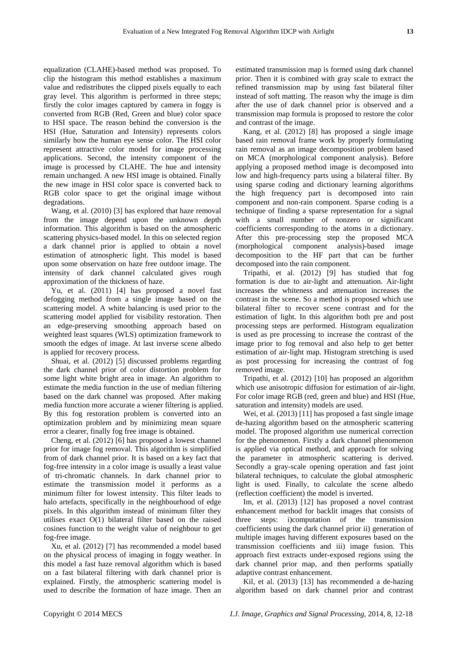equalization (CLAHE)-based method was proposed. To clip the histogram this method establishes a maximum value and redistributes the clipped pixels equally to each gray level. This algorithm is performed in three steps; firstly the color images captured by camera in foggy is converted from RGB (Red, Green and blue) color space to HSI space. The reason behind the conversion is the HSI (Hue, Saturation and Intensity) represents colors similarly how the human eye sense color. The HSI color represent attractive color model for image processing applications. Second, the intensity component of the image is processed by CLAHE. The hue and intensity remain unchanged. A new HSI image is obtained. Finally the new image in HSI color space is converted back to RGB color space to get the original image without degradations.

Wang, et al. (2010) [3] has explored that haze removal from the image depend upon the unknown depth information. This algorithm is based on the atmospheric scattering physics-based model. In this on selected region a dark channel prior is applied to obtain a novel estimation of atmospheric light. This model is based upon some observation on haze free outdoor image. The intensity of dark channel calculated gives rough approximation of the thickness of haze.

Yu, et al. (2011) [4] has proposed a novel fast defogging method from a single image based on the scattering model. A white balancing is used prior to the scattering model applied for visibility restoration. Then an edge-preserving smoothing approach based on weighted least squares (WLS) optimization framework to smooth the edges of image. At last inverse scene albedo is applied for recovery process.

Shuai, et al. (2012) [5] discussed problems regarding the dark channel prior of color distortion problem for some light white bright area in image. An algorithm to estimate the media function in the use of median filtering based on the dark channel was proposed. After making media function more accurate a wiener filtering is applied. By this fog restoration problem is converted into an optimization problem and by minimizing mean square error a clearer, finally fog free image is obtained.

Cheng, et al. (2012) [6] has proposed a lowest channel prior for image fog removal. This algorithm is simplified from of dark channel prior. It is based on a key fact that fog-free intensity in a color image is usually a least value of tri-chromatic channels. In dark channel prior to estimate the transmission model it performs as a minimum filter for lowest intensity. This filter leads to halo artefacts, specifically in the neighbourhood of edge pixels. In this algorithm instead of minimum filter they utilises exact O(1) bilateral filter based on the raised cosines function to the weight value of neighbour to get fog-free image.

Xu, et al. (2012) [7] has recommended a model based on the physical process of imaging in foggy weather. In this model a fast haze removal algorithm which is based on a fast bilateral filtering with dark channel prior is explained. Firstly, the atmospheric scattering model is used to describe the formation of haze image. Then an

estimated transmission map is formed using dark channel prior. Then it is combined with gray scale to extract the refined transmission map by using fast bilateral filter instead of soft matting. The reason why the image is dim after the use of dark channel prior is observed and a transmission map formula is proposed to restore the color and contrast of the image.

Kang, et al. (2012) [8] has proposed a single image based rain removal frame work by properly formulating rain removal as an image decomposition problem based on MCA (morphological component analysis). Before applying a proposed method image is decomposed into low and high-frequency parts using a bilateral filter. By using sparse coding and dictionary learning algorithms the high frequency part is decomposed into rain component and non-rain component. Sparse coding is a technique of finding a sparse representation for a signal with a small number of nonzero or significant coefficients corresponding to the atoms in a dictionary. After this pre-processing step the proposed MCA (morphological component analysis)-based image decomposition to the HF part that can be further decomposed into the rain component.

Tripathi, et al. (2012) [9] has studied that fog formation is due to air-light and attenuation. Air-light increases the whiteness and attenuation increases the contrast in the scene. So a method is proposed which use bilateral filter to recover scene contrast and for the estimation of light. In this algorithm both pre and post processing steps are performed. Histogram equalization is used as pre processing to increase the contrast of the image prior to fog removal and also help to get better estimation of air-light map. Histogram stretching is used as post processing for increasing the contrast of fog removed image.

Tripathi, et al. (2012) [10] has proposed an algorithm which use anisotropic diffusion for estimation of air-light. For color image RGB (red, green and blue) and HSI (Hue, saturation and intensity) models are used.

Wei, et al. (2013) [11] has proposed a fast single image de-hazing algorithm based on the atmospheric scattering model. The proposed algorithm use numerical correction for the phenomenon. Firstly a dark channel phenomenon is applied via optical method, and approach for solving the parameter in atmospheric scattering is derived. Secondly a gray-scale opening operation and fast joint bilateral techniques, to calculate the global atmospheric light is used. Finally, to calculate the scene albedo (reflection coefficient) the model is inverted.

Im, et al. (2013) [12] has proposed a novel contrast enhancement method for backlit images that consists of three steps: i)computation of the transmission coefficients using the dark channel prior ii) generation of multiple images having different exposures based on the transmission coefficients and iii) image fusion. This approach first extracts under-exposed regions using the dark channel prior map, and then performs spatially adaptive contrast enhancement.

Kil, et al. (2013) [13] has recommended a de-hazing algorithm based on dark channel prior and contrast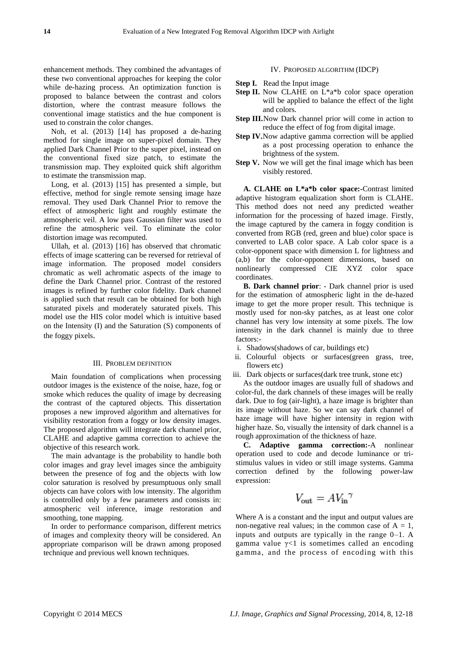enhancement methods. They combined the advantages of these two conventional approaches for keeping the color while de-hazing process. An optimization function is proposed to balance between the contrast and colors distortion, where the contrast measure follows the conventional image statistics and the hue component is used to constrain the color changes.

Noh, et al. (2013) [14] has proposed a de-hazing method for single image on super-pixel domain. They applied Dark Channel Prior to the super pixel, instead on the conventional fixed size patch, to estimate the transmission map. They exploited quick shift algorithm to estimate the transmission map.

Long, et al. (2013) [15] has presented a simple, but effective, method for single remote sensing image haze removal. They used Dark Channel Prior to remove the effect of atmospheric light and roughly estimate the atmospheric veil. A low pass Gaussian filter was used to refine the atmospheric veil. To eliminate the color distortion image was recomputed.

Ullah, et al. (2013) [16] has observed that chromatic effects of image scattering can be reversed for retrieval of image information. The proposed model considers chromatic as well achromatic aspects of the image to define the Dark Channel prior. Contrast of the restored images is refined by further color fidelity. Dark channel is applied such that result can be obtained for both high saturated pixels and moderately saturated pixels. This model use the HIS color model which is intuitive based on the Intensity (I) and the Saturation (S) components of the foggy pixels.

#### III. PROBLEM DEFINITION

Main foundation of complications when processing outdoor images is the existence of the noise, haze, fog or smoke which reduces the quality of image by decreasing the contrast of the captured objects. This dissertation proposes a new improved algorithm and alternatives for visibility restoration from a foggy or low density images. The proposed algorithm will integrate dark channel prior, CLAHE and adaptive gamma correction to achieve the objective of this research work.

The main advantage is the probability to handle both color images and gray level images since the ambiguity between the presence of fog and the objects with low color saturation is resolved by presumptuous only small objects can have colors with low intensity. The algorithm is controlled only by a few parameters and consists in: atmospheric veil inference, image restoration and smoothing, tone mapping.

In order to performance comparison, different metrics of images and complexity theory will be considered. An appropriate comparison will be drawn among proposed technique and previous well known techniques.

IV. PROPOSED ALGORITHM (IDCP)

- **Step I.** Read the Input image
- **Step II.** Now CLAHE on L<sup>\*</sup>a<sup>\*b</sup> color space operation will be applied to balance the effect of the light and colors.
- **Step III.** Now Dark channel prior will come in action to reduce the effect of fog from digital image.
- **Step IV.**Now adaptive gamma correction will be applied as a post processing operation to enhance the brightness of the system.
- **Step V.** Now we will get the final image which has been visibly restored.

**A. CLAHE on L\*a\*b color space:-**Contrast limited adaptive histogram equalization short form is CLAHE. This method does not need any predicted weather information for the processing of hazed image. Firstly, the image captured by the camera in foggy condition is converted from RGB (red, green and blue) color space is converted to LAB color space. A Lab color space is a [color-opponent](http://en.wikipedia.org/wiki/Opponent_process) space with dimension L for [lightness](http://en.wikipedia.org/wiki/Lightness_%28color%29) and (a,b) for the color-opponent dimensions, based on nonlinearly compressed [CIE XYZ color space](http://en.wikipedia.org/wiki/CIE_XYZ_color_space) coordinates.

**B. Dark channel prior**: - Dark channel prior is used for the estimation of atmospheric light in the de-hazed image to get the more proper result. This technique is mostly used for non-sky patches, as at least one color channel has very low intensity at some pixels. The low intensity in the dark channel is mainly due to three factors:-

- i. Shadows(shadows of car, buildings etc)
- ii. Colourful objects or surfaces(green grass, tree, flowers etc)
- iii. Dark objects or surfaces(dark tree trunk, stone etc)

As the outdoor images are usually full of shadows and color-ful, the dark channels of these images will be really dark. Due to fog (air-light), a haze image is brighter than its image without haze. So we can say dark channel of haze image will have higher intensity in region with higher haze. So, visually the intensity of dark channel is a rough approximation of the thickness of haze.

**C. Adaptive gamma correction:-**A nonlinear operation used to code and decode [luminance](http://en.wikipedia.org/wiki/Luminance_%28relative%29) or [tri](http://en.wikipedia.org/wiki/Tristimulus_value)[stimulus values](http://en.wikipedia.org/wiki/Tristimulus_value) in [video](http://en.wikipedia.org/wiki/Video) or [still image](http://en.wikipedia.org/wiki/Still_image) systems. Gamma correction defined by the following [power-law](http://en.wikipedia.org/wiki/Power_law) expression:

$$
V_{\text{out}} = A V_{\text{in}}^{\gamma}
$$

Where A is a constant and the input and output values are non-negative real values; in the common case of  $A = 1$ , inputs and outputs are typically in the range 0–1. A gamma value  $\gamma$ <1 is sometimes called an encoding gamma, and the process of encoding with this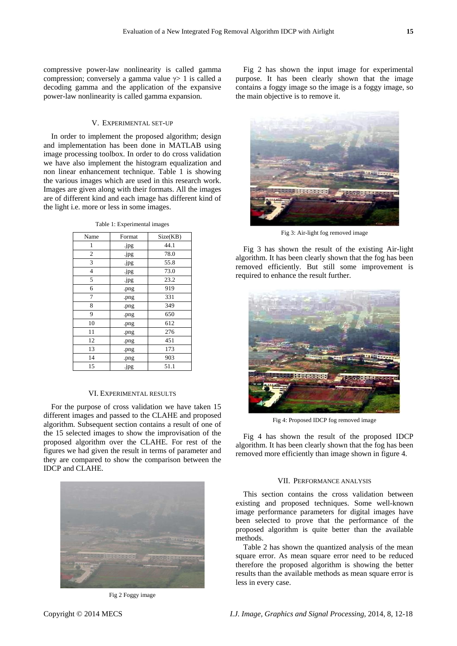compressive power-law nonlinearity is called gamma compression; conversely a gamma value  $\gamma$  1 is called a decoding gamma and the application of the expansive power-law nonlinearity is called gamma expansion.

## V. EXPERIMENTAL SET-UP

In order to implement the proposed algorithm; design and implementation has been done in MATLAB using image processing toolbox. In order to do cross validation we have also implement the histogram equalization and non linear enhancement technique. Table 1 is showing the various images which are used in this research work. Images are given along with their formats. All the images are of different kind and each image has different kind of the light i.e. more or less in some images.

|  |  | Table 1: Experimental images |  |
|--|--|------------------------------|--|
|--|--|------------------------------|--|

| Name           | Format | Size(KB) |
|----------------|--------|----------|
| 1              | .jpg   | 44.1     |
| $\overline{c}$ | .jpg   | 78.0     |
| 3              | .jpg   | 55.8     |
| 4              | .jpg   | 73.0     |
| 5              | .jpg   | 23.2     |
| 6              | .png   | 919      |
| 7              | .png   | 331      |
| 8              | .png   | 349      |
| 9              | .png   | 650      |
| 10             | .png   | 612      |
| 11             | .png   | 276      |
| 12             | .png   | 451      |
| 13             | .png   | 173      |
| 14             | .png   | 903      |
| 15             | .jpg   | 51.1     |

### VI. EXPERIMENTAL RESULTS

For the purpose of cross validation we have taken 15 different images and passed to the CLAHE and proposed algorithm. Subsequent section contains a result of one of the 15 selected images to show the improvisation of the proposed algorithm over the CLAHE. For rest of the figures we had given the result in terms of parameter and they are compared to show the comparison between the IDCP and CLAHE.



Fig 2 Foggy image

Fig 2 has shown the input image for experimental purpose. It has been clearly shown that the image contains a foggy image so the image is a foggy image, so the main objective is to remove it.



Fig 3: Air-light fog removed image

Fig 3 has shown the result of the existing Air-light algorithm. It has been clearly shown that the fog has been removed efficiently. But still some improvement is required to enhance the result further.



Fig 4: Proposed IDCP fog removed image

Fig 4 has shown the result of the proposed IDCP algorithm. It has been clearly shown that the fog has been removed more efficiently than image shown in figure 4.

### VII. PERFORMANCE ANALYSIS

This section contains the cross validation between existing and proposed techniques. Some well-known image performance parameters for digital images have been selected to prove that the performance of the proposed algorithm is quite better than the available methods.

Table 2 has shown the quantized analysis of the mean square error. As mean square error need to be reduced therefore the proposed algorithm is showing the better results than the available methods as mean square error is less in every case.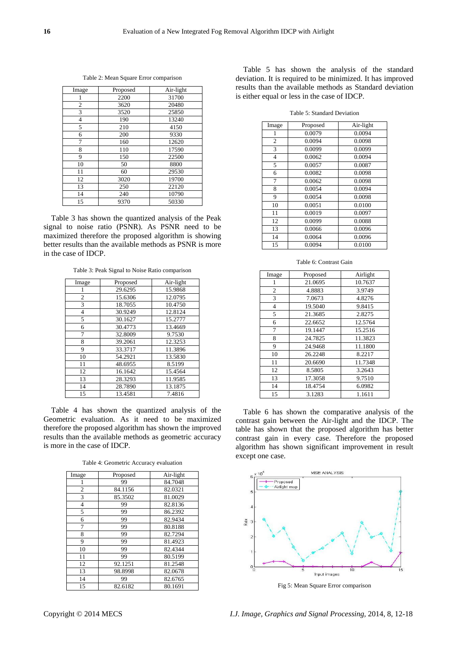| Image | Proposed | Air-light |
|-------|----------|-----------|
|       | 2200     | 31700     |
| 2     | 3620     | 20480     |
| 3     | 3520     | 25850     |
| 4     | 190      | 13240     |
| 5     | 210      | 4150      |
| 6     | 200      | 9330      |
| 7     | 160      | 12620     |
| 8     | 110      | 17590     |
| 9     | 150      | 22500     |
| 10    | 50       | 8800      |
| 11    | 60       | 29530     |
| 12    | 3020     | 19700     |
| 13    | 250      | 22120     |
| 14    | 240      | 10790     |
| 15    | 9370     | 50330     |

Table 2: Mean Square Error comparison

Table 3 has shown the quantized analysis of the Peak signal to noise ratio (PSNR). As PSNR need to be maximized therefore the proposed algorithm is showing better results than the available methods as PSNR is more in the case of IDCP.

Table 3: Peak Signal to Noise Ratio comparison

| Image | Proposed | Air-light |
|-------|----------|-----------|
| 1     | 29.6295  | 15.9868   |
| 2     | 15.6306  | 12.0795   |
| 3     | 18.7055  | 10.4750   |
| 4     | 30.9249  | 12.8124   |
| 5     | 30.1627  | 15.2777   |
| 6     | 30.4773  | 13.4669   |
| 7     | 32.8009  | 9.7530    |
| 8     | 39.2061  | 12.3253   |
| 9     | 33.3717  | 11.3896   |
| 10    | 54.2921  | 13.5830   |
| 11    | 48.6955  | 8.5199    |
| 12    | 16.1642  | 15.4564   |
| 13    | 28.3293  | 11.9585   |
| 14    | 28.7890  | 13.1875   |
| 15    | 13.4581  | 7.4816    |

Table 4 has shown the quantized analysis of the Geometric evaluation. As it need to be maximized therefore the proposed algorithm has shown the improved results than the available methods as geometric accuracy is more in the case of IDCP.

Table 4: Geometric Accuracy evaluation

| Image          | Proposed | Air-light |
|----------------|----------|-----------|
|                | 99       | 84.7048   |
| $\overline{2}$ | 84.1156  | 82.0321   |
| 3              | 85.3502  | 81.0029   |
| $\overline{4}$ | 99       | 82.8136   |
| 5              | 99       | 86.2392   |
| 6              | 99       | 82.9434   |
| 7              | 99       | 80.8188   |
| 8              | 99       | 82.7294   |
| 9              | 99       | 81.4923   |
| 10             | 99       | 82.4344   |
| 11             | 99       | 80.5199   |
| 12             | 92.1251  | 81.2548   |
| 13             | 98.8998  | 82.0678   |
| 14             | 99       | 82.6765   |
| 15             | 82.6182  | 80.1691   |

Table 5 has shown the analysis of the standard deviation. It is required to be minimized. It has improved results than the available methods as Standard deviation is either equal or less in the case of IDCP.

Table 5: Standard Deviation

| Image          | Proposed | Air-light |
|----------------|----------|-----------|
| 1              | 0.0079   | 0.0094    |
| $\overline{2}$ | 0.0094   | 0.0098    |
| 3              | 0.0099   | 0.0099    |
| $\overline{4}$ | 0.0062   | 0.0094    |
| 5              | 0.0057   | 0.0087    |
| 6              | 0.0082   | 0.0098    |
| 7              | 0.0062   | 0.0098    |
| 8              | 0.0054   | 0.0094    |
| 9              | 0.0054   | 0.0098    |
| 10             | 0.0051   | 0.0100    |
| 11             | 0.0019   | 0.0097    |
| 12             | 0.0099   | 0.0088    |
| 13             | 0.0066   | 0.0096    |
| 14             | 0.0064   | 0.0096    |
| 15             | 0.0094   | 0.0100    |

Table 6: Contrast Gain

| Image | Proposed | Airlight |
|-------|----------|----------|
| 1     | 21.0695  | 10.7637  |
| 2     | 4.8883   | 3.9749   |
| 3     | 7.0673   | 4.8276   |
| 4     | 19.5040  | 9.8415   |
| 5     | 21.3685  | 2.8275   |
| 6     | 22.6652  | 12.5764  |
| 7     | 19.1447  | 15.2516  |
| 8     | 24.7825  | 11.3823  |
| 9     | 24.9468  | 11.1800  |
| 10    | 26.2248  | 8.2217   |
| 11    | 20.6690  | 11.7348  |
| 12    | 8.5805   | 3.2643   |
| 13    | 17.3058  | 9.7510   |
| 14    | 18.4754  | 6.0982   |
| 15    | 3.1283   | 1.1611   |

Table 6 has shown the comparative analysis of the contrast gain between the Air-light and the IDCP. The table has shown that the proposed algorithm has better contrast gain in every case. Therefore the proposed algorithm has shown significant improvement in result except one case.



Fig 5: Mean Square Error comparison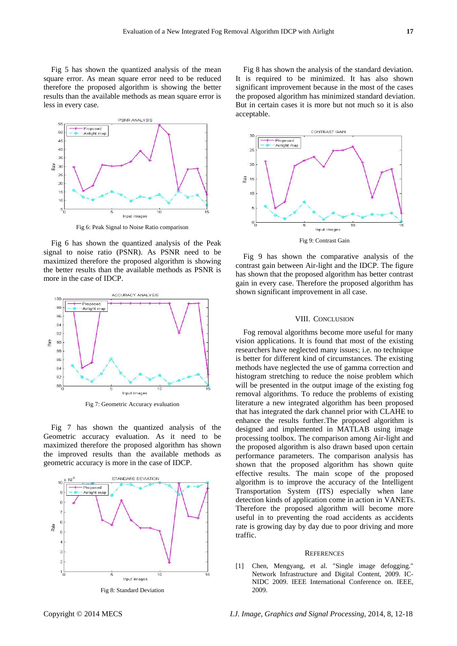Fig 5 has shown the quantized analysis of the mean square error. As mean square error need to be reduced therefore the proposed algorithm is showing the better results than the available methods as mean square error is less in every case.



Fig 6: Peak Signal to Noise Ratio comparison

Fig 6 has shown the quantized analysis of the Peak signal to noise ratio (PSNR). As PSNR need to be maximized therefore the proposed algorithm is showing the better results than the available methods as PSNR is more in the case of IDCP.



Fig 7: Geometric Accuracy evaluation

Fig 7 has shown the quantized analysis of the Geometric accuracy evaluation. As it need to be maximized therefore the proposed algorithm has shown the improved results than the available methods as geometric accuracy is more in the case of IDCP.



Fig 8 has shown the analysis of the standard deviation. It is required to be minimized. It has also shown significant improvement because in the most of the cases the proposed algorithm has minimized standard deviation. But in certain cases it is more but not much so it is also acceptable.



Fig 9 has shown the comparative analysis of the contrast gain between Air-light and the IDCP. The figure has shown that the proposed algorithm has better contrast gain in every case. Therefore the proposed algorithm has shown significant improvement in all case.

## VIII. CONCLUSION

Fog removal algorithms become more useful for many vision applications. It is found that most of the existing researchers have neglected many issues; i.e. no technique is better for different kind of circumstances. The existing methods have neglected the use of gamma correction and histogram stretching to reduce the noise problem which will be presented in the output image of the existing fog removal algorithms. To reduce the problems of existing literature a new integrated algorithm has been proposed that has integrated the dark channel prior with CLAHE to enhance the results further.The proposed algorithm is designed and implemented in MATLAB using image processing toolbox. The comparison among Air-light and the proposed algorithm is also drawn based upon certain performance parameters. The comparison analysis has shown that the proposed algorithm has shown quite effective results. The main scope of the proposed algorithm is to improve the accuracy of the Intelligent Transportation System (ITS) especially when lane detection kinds of application come in action in VANETs. Therefore the proposed algorithm will become more useful in to preventing the road accidents as accidents rate is growing day by day due to poor driving and more traffic.

#### **REFERENCES**

[1] Chen, Mengyang, et al. "Single image defogging." Network Infrastructure and Digital Content, 2009. IC-NIDC 2009. IEEE International Conference on. IEEE, 2009.